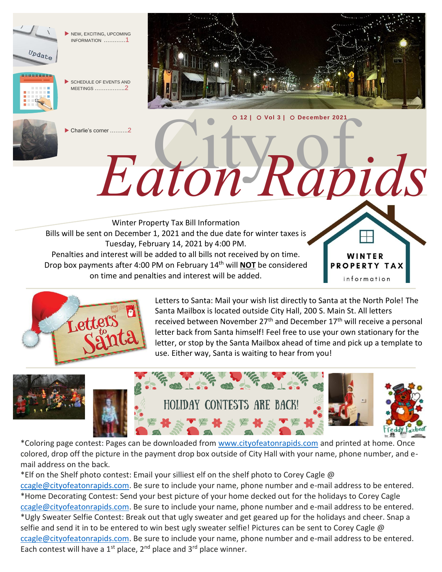

NEW, EXCITING, UPCOMING INFORMATION …………1



 SCHEDULE OF EVENTS AND MEETINGS ……………..2



Charlie's corner ……….2

Winter Property Tax Bill Information Bills will be sent on December 1, 2021 and the due date for winter taxes is Tuesday, February 14, 2021 by 4:00 PM. Penalties and interest will be added to all bills not received by on time. Drop box payments after 4:00 PM on February 14 th will **NOT** be considered on time and penalties and interest will be added.



I Letters to Santa: Mail your wish list directly to Santa at the North Pole! The Santa Mailbox is located outside City Hall, 200 S. Main St. All letters received between November 27<sup>th</sup> and December 17<sup>th</sup> will receive a personal letter back from Santa himself! Feel free to use your own stationary for the letter, or stop by the Santa Mailbox ahead of time and pick up a template to use. Either way, Santa is waiting to hear from you!

WINTER **PROPERTY TAX** information

City of *Eaton Rapids*

**12 | Vol 3 | December 2021**



\*Coloring page contest: Pages can be downloaded from [www.cityofeatonrapids.com](http://www.cityofeatonrapids.com/) and printed at home. Once colored, drop off the picture in the payment drop box outside of City Hall with your name, phone number, and email address on the back.

\*Elf on the Shelf photo contest: Email your silliest elf on the shelf photo to Corey Cagle @

[ccagle@cityofeatonrapids.com.](mailto:ccagle@cityofeatonrapids.com) Be sure to include your name, phone number and e-mail address to be entered. \*Home Decorating Contest: Send your best picture of your home decked out for the holidays to Corey Cagle [ccagle@cityofeatonrapids.com.](mailto:ccagle@cityofeatonrapids.com) Be sure to include your name, phone number and e-mail address to be entered. \*Ugly Sweater Selfie Contest: Break out that ugly sweater and get geared up for the holidays and cheer. Snap a selfie and send it in to be entered to win best ugly sweater selfie! Pictures can be sent to Corey Cagle @ [ccagle@cityofeatonrapids.com.](mailto:ccagle@cityofeatonrapids.com) Be sure to include your name, phone number and e-mail address to be entered. Each contest will have a  $1^{st}$  place,  $2^{nd}$  place and  $3^{rd}$  place winner.